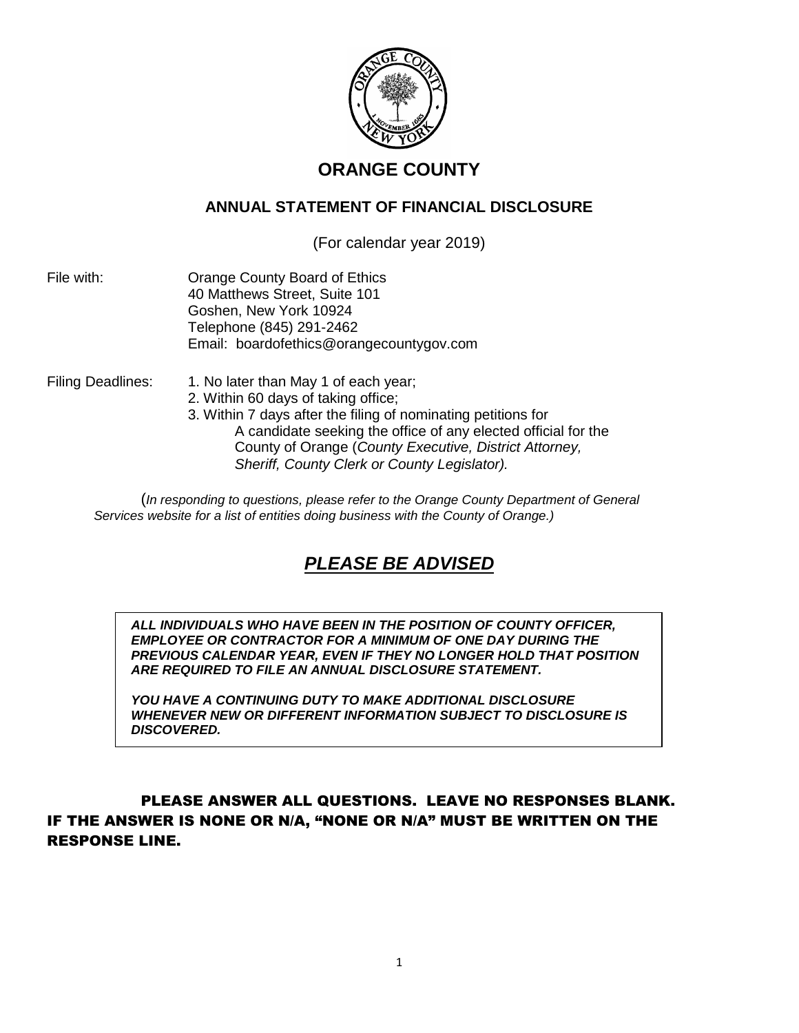

## **ORANGE COUNTY**

## **ANNUAL STATEMENT OF FINANCIAL DISCLOSURE**

(For calendar year 2019)

File with: Orange County Board of Ethics 40 Matthews Street, Suite 101 Goshen, New York 10924 Telephone (845) 291-2462 Email: boardofethics@orangecountygov.com

- Filing Deadlines: 1. No later than May 1 of each year;
	- 2. Within 60 days of taking office;
	- 3. Within 7 days after the filing of nominating petitions for A candidate seeking the office of any elected official for the County of Orange (*County Executive, District Attorney, Sheriff, County Clerk or County Legislator).*

(*In responding to questions, please refer to the Orange County Department of General Services website for a list of entities doing business with the County of Orange.)*

# *PLEASE BE ADVISED*

*ALL INDIVIDUALS WHO HAVE BEEN IN THE POSITION OF COUNTY OFFICER, EMPLOYEE OR CONTRACTOR FOR A MINIMUM OF ONE DAY DURING THE PREVIOUS CALENDAR YEAR, EVEN IF THEY NO LONGER HOLD THAT POSITION ARE REQUIRED TO FILE AN ANNUAL DISCLOSURE STATEMENT.*

*YOU HAVE A CONTINUING DUTY TO MAKE ADDITIONAL DISCLOSURE WHENEVER NEW OR DIFFERENT INFORMATION SUBJECT TO DISCLOSURE IS DISCOVERED.*

## PLEASE ANSWER ALL QUESTIONS. LEAVE NO RESPONSES BLANK. IF THE ANSWER IS NONE OR N/A, "NONE OR N/A" MUST BE WRITTEN ON THE RESPONSE LINE.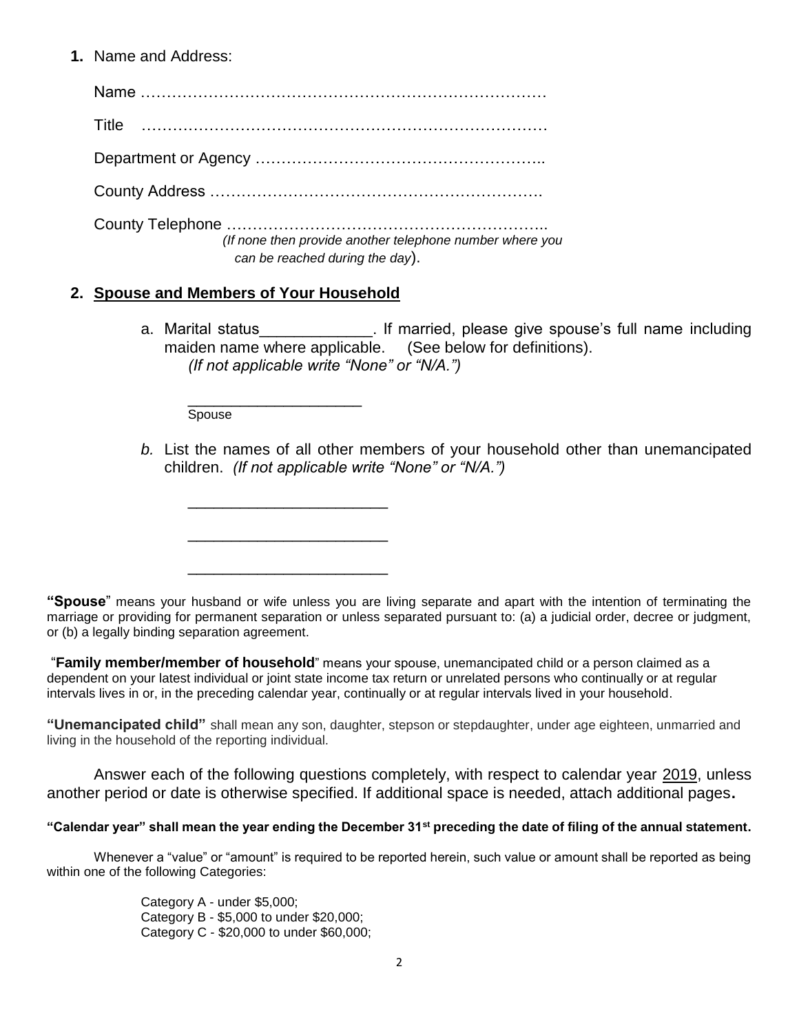#### **1.** Name and Address:

Name …………………………………………………………………… Title …………………………………………………………………… Department or Agency ……………………………………………….. County Address ………………………………………………………. County Telephone …………………………………………………….. *(If none then provide another telephone number where you can be reached during the day*).

## **2. Spouse and Members of Your Household**

\_\_\_\_\_\_\_\_\_\_\_\_\_\_\_\_\_\_\_\_\_\_\_

\_\_\_\_\_\_\_\_\_\_\_\_\_\_\_\_\_\_\_\_\_\_\_

\_\_\_\_\_\_\_\_\_\_\_\_\_\_\_\_\_\_\_\_\_\_\_

a. Marital status **Exercice** is 1. If married, please give spouse's full name including maiden name where applicable. (See below for definitions). *(If not applicable write "None" or "N/A.")*

\_\_\_\_\_\_\_\_\_\_\_\_\_\_\_\_\_\_\_\_ Spouse

*b.* List the names of all other members of your household other than unemancipated children. *(If not applicable write "None" or "N/A.")*

**"Spouse**" means your husband or wife unless you are living separate and apart with the intention of terminating the marriage or providing for permanent separation or unless separated pursuant to: (a) a judicial order, decree or judgment, or (b) a legally binding separation agreement.

"**Family member/member of household**" means your spouse, unemancipated child or a person claimed as a dependent on your latest individual or joint state income tax return or unrelated persons who continually or at regular intervals lives in or, in the preceding calendar year, continually or at regular intervals lived in your household.

**"Unemancipated child"** shall mean any son, daughter, stepson or stepdaughter, under age eighteen, unmarried and living in the household of the reporting individual.

Answer each of the following questions completely, with respect to calendar year 2019, unless another period or date is otherwise specified. If additional space is needed, attach additional pages**.**

#### **"Calendar year" shall mean the year ending the December 31st preceding the date of filing of the annual statement.**

Whenever a "value" or "amount" is required to be reported herein, such value or amount shall be reported as being within one of the following Categories:

> Category A - under \$5,000; Category B - \$5,000 to under \$20,000; Category C - \$20,000 to under \$60,000;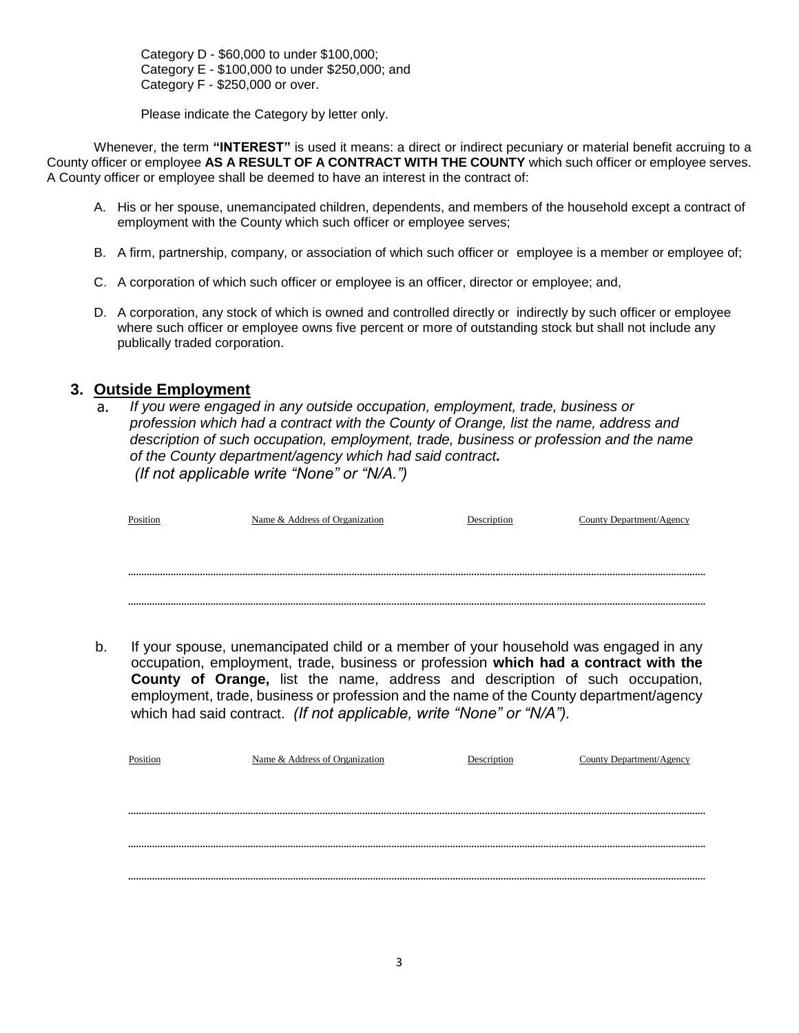Category D - \$60,000 to under \$100,000; Category E - \$100,000 to under \$250,000; and Category F - \$250,000 or over.

Please indicate the Category by letter only.

Whenever, the term **"INTEREST"** is used it means: a direct or indirect pecuniary or material benefit accruing to a County officer or employee **AS A RESULT OF A CONTRACT WITH THE COUNTY** which such officer or employee serves. A County officer or employee shall be deemed to have an interest in the contract of:

- A. His or her spouse, unemancipated children, dependents, and members of the household except a contract of employment with the County which such officer or employee serves;
- B. A firm, partnership, company, or association of which such officer or employee is a member or employee of;
- C. A corporation of which such officer or employee is an officer, director or employee; and,
- D. A corporation, any stock of which is owned and controlled directly or indirectly by such officer or employee where such officer or employee owns five percent or more of outstanding stock but shall not include any publically traded corporation.

#### **3. Outside Employment**

a. *If you were engaged in any outside occupation, employment, trade, business or profession which had a contract with the County of Orange, list the name, address and description of such occupation, employment, trade, business or profession and the name of the County department/agency which had said contract. (If not applicable write "None" or "N/A.")*

| Position | Name & Address of Organization | Description | County Department/Agency |
|----------|--------------------------------|-------------|--------------------------|
|          |                                |             |                          |
|          |                                |             |                          |
|          |                                |             |                          |

.........................................................................................................................................................................................................................

b. If your spouse, unemancipated child or a member of your household was engaged in any occupation, employment, trade, business or profession **which had a contract with the County of Orange,** list the name, address and description of such occupation, employment, trade, business or profession and the name of the County department/agency which had said contract. *(If not applicable, write "None" or "N/A").*

| Position | Name & Address of Organization | County Department/Agency |
|----------|--------------------------------|--------------------------|
|          |                                |                          |
|          |                                |                          |
|          |                                |                          |
|          |                                |                          |
|          |                                |                          |
|          |                                |                          |
|          |                                |                          |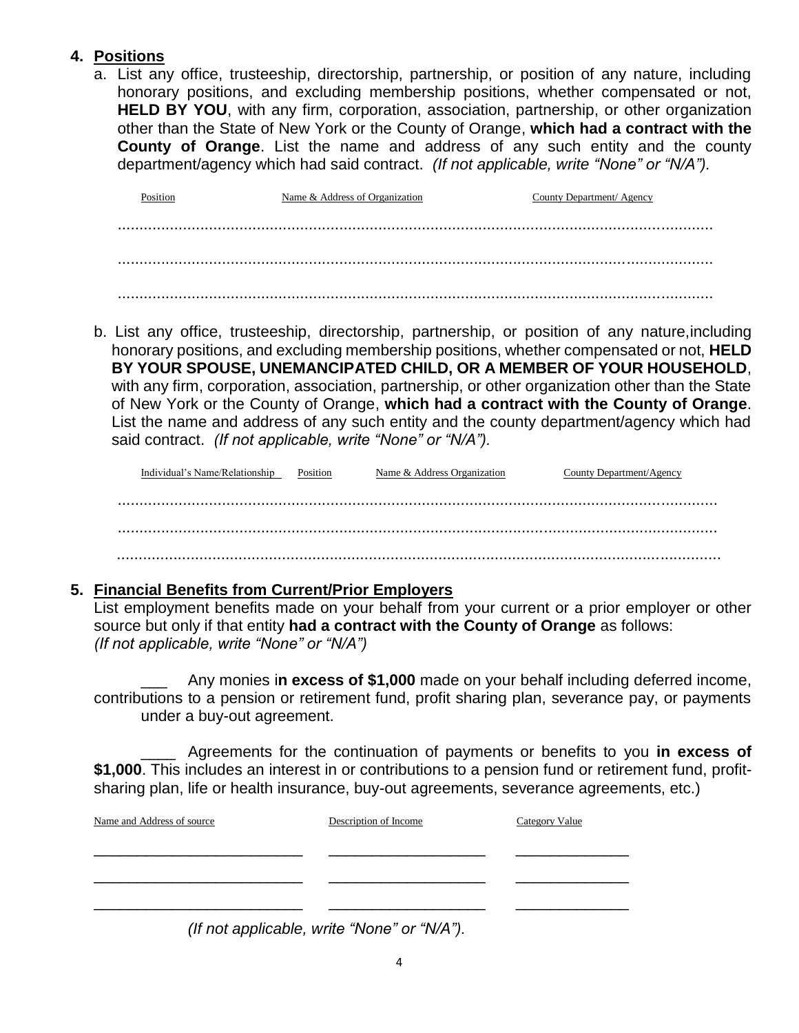## **4. Positions**

a. List any office, trusteeship, directorship, partnership, or position of any nature, including honorary positions, and excluding membership positions, whether compensated or not, **HELD BY YOU**, with any firm, corporation, association, partnership, or other organization other than the State of New York or the County of Orange, **which had a contract with the County of Orange**. List the name and address of any such entity and the county department/agency which had said contract. *(If not applicable, write "None" or "N/A").*

Position Name & Address of Organization County Department/ Agency ......................................................................................................................................... ......................................................................................................................................... .........................................................................................................................................

b. List any office, trusteeship, directorship, partnership, or position of any nature,including honorary positions, and excluding membership positions, whether compensated or not, **HELD BY YOUR SPOUSE, UNEMANCIPATED CHILD, OR A MEMBER OF YOUR HOUSEHOLD**, with any firm, corporation, association, partnership, or other organization other than the State of New York or the County of Orange, **which had a contract with the County of Orange**. List the name and address of any such entity and the county department/agency which had said contract. *(If not applicable, write "None" or "N/A").*

| Individual's Name/Relationship | Position | Name & Address Organization | County Department/Agency |
|--------------------------------|----------|-----------------------------|--------------------------|
|                                |          |                             |                          |
|                                |          |                             |                          |
|                                |          |                             |                          |
|                                |          |                             |                          |
|                                |          |                             |                          |

## **5. Financial Benefits from Current/Prior Employers**

List employment benefits made on your behalf from your current or a prior employer or other source but only if that entity **had a contract with the County of Orange** as follows: *(If not applicable, write "None" or "N/A")*

Any monies in excess of \$1,000 made on your behalf including deferred income, contributions to a pension or retirement fund, profit sharing plan, severance pay, or payments under a buy-out agreement.

\_\_\_\_ Agreements for the continuation of payments or benefits to you **in excess of \$1,000**. This includes an interest in or contributions to a pension fund or retirement fund, profitsharing plan, life or health insurance, buy-out agreements, severance agreements, etc.)

| Name and Address of source | Description of Income                                                                                                                                                                                                                      | <b>Category Value</b> |
|----------------------------|--------------------------------------------------------------------------------------------------------------------------------------------------------------------------------------------------------------------------------------------|-----------------------|
|                            |                                                                                                                                                                                                                                            |                       |
|                            |                                                                                                                                                                                                                                            |                       |
|                            | $\overline{\phantom{a}}$ , and the contract of the contract of the contract of the contract of the contract of the contract of the contract of the contract of the contract of the contract of the contract of the contract of the contrac |                       |

*(If not applicable, write "None" or "N/A").*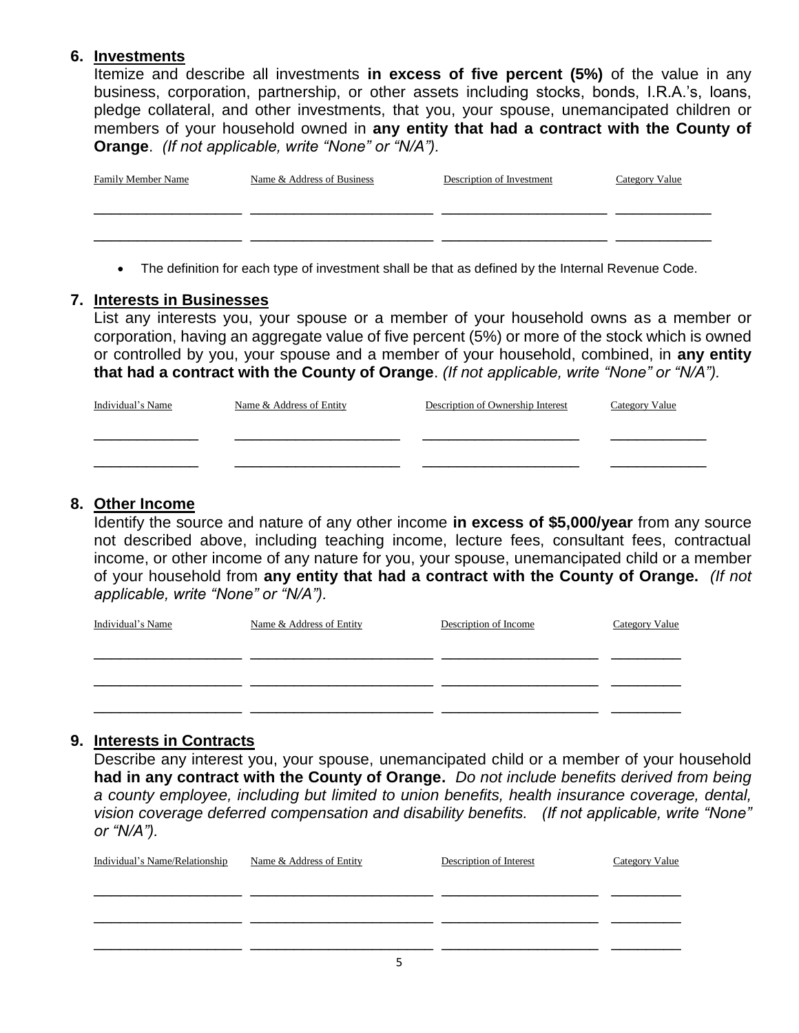## **6. Investments**

Itemize and describe all investments **in excess of five percent (5%)** of the value in any business, corporation, partnership, or other assets including stocks, bonds, I.R.A.'s, loans, pledge collateral, and other investments, that you, your spouse, unemancipated children or members of your household owned in **any entity that had a contract with the County of Orange**. *(If not applicable, write "None" or "N/A").*

| <b>Family Member Name</b> | Name & Address of Business | Description of Investment | <b>Category Value</b> |
|---------------------------|----------------------------|---------------------------|-----------------------|
|                           |                            |                           |                       |
|                           |                            |                           |                       |
|                           |                            |                           |                       |

• The definition for each type of investment shall be that as defined by the Internal Revenue Code.

## **7. Interests in Businesses**

List any interests you, your spouse or a member of your household owns as a member or corporation, having an aggregate value of five percent (5%) or more of the stock which is owned or controlled by you, your spouse and a member of your household, combined, in **any entity that had a contract with the County of Orange**. *(If not applicable, write "None" or "N/A").*

| Individual's Name | Name & Address of Entity | Description of Ownership Interest | <b>Category Value</b> |
|-------------------|--------------------------|-----------------------------------|-----------------------|
|                   |                          |                                   |                       |
|                   |                          |                                   |                       |

## **8. Other Income**

Identify the source and nature of any other income **in excess of \$5,000/year** from any source not described above, including teaching income, lecture fees, consultant fees, contractual income, or other income of any nature for you, your spouse, unemancipated child or a member of your household from **any entity that had a contract with the County of Orange.** *(If not applicable, write "None" or "N/A").*

| Individual's Name | Name & Address of Entity | Description of Income | Category Value |
|-------------------|--------------------------|-----------------------|----------------|
|                   |                          |                       |                |
|                   |                          |                       |                |
|                   |                          |                       |                |

## **9. Interests in Contracts**

Describe any interest you, your spouse, unemancipated child or a member of your household **had in any contract with the County of Orange.** *Do not include benefits derived from being a county employee, including but limited to union benefits, health insurance coverage, dental, vision coverage deferred compensation and disability benefits. (If not applicable, write "None" or "N/A").*

| Individual's Name/Relationship | Name & Address of Entity | Description of Interest | <b>Category Value</b> |
|--------------------------------|--------------------------|-------------------------|-----------------------|
|                                |                          |                         |                       |
|                                |                          |                         |                       |
|                                |                          |                         |                       |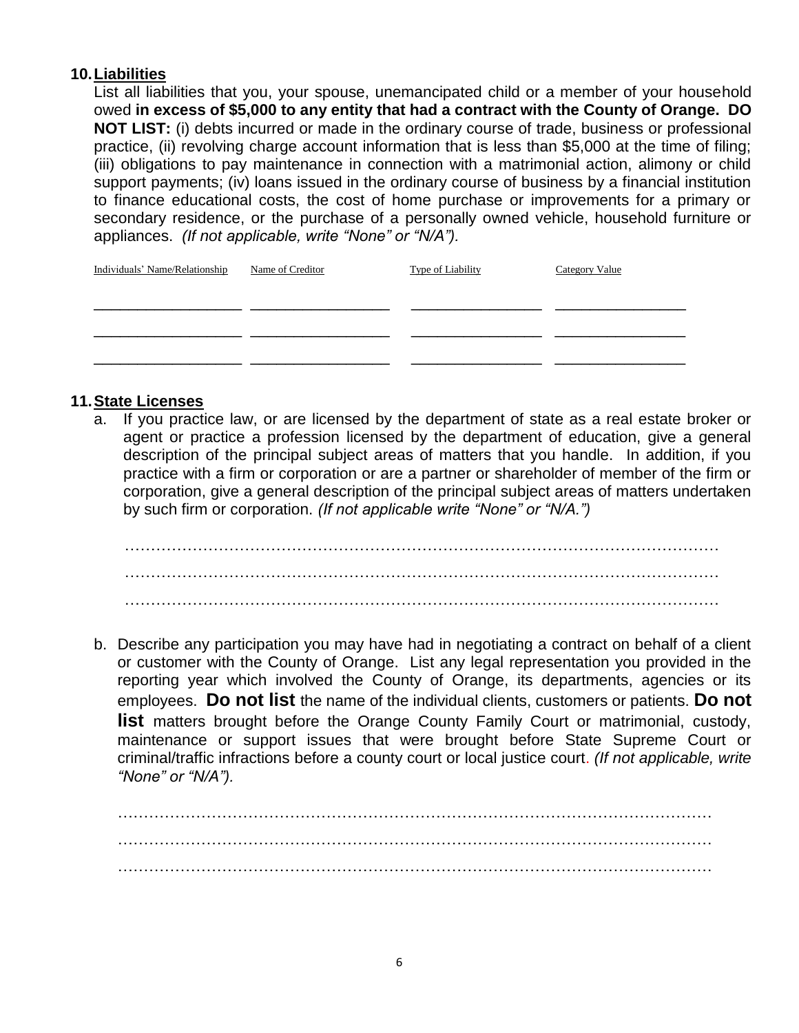## **10.Liabilities**

List all liabilities that you, your spouse, unemancipated child or a member of your household owed **in excess of \$5,000 to any entity that had a contract with the County of Orange. DO NOT LIST:** (i) debts incurred or made in the ordinary course of trade, business or professional practice, (ii) revolving charge account information that is less than \$5,000 at the time of filing; (iii) obligations to pay maintenance in connection with a matrimonial action, alimony or child support payments; (iv) loans issued in the ordinary course of business by a financial institution to finance educational costs, the cost of home purchase or improvements for a primary or secondary residence, or the purchase of a personally owned vehicle, household furniture or appliances. *(If not applicable, write "None" or "N/A").*

| Individuals' Name/Relationship | Name of Creditor | <b>Type of Liability</b> | Category Value |
|--------------------------------|------------------|--------------------------|----------------|
|                                |                  |                          |                |
|                                |                  |                          |                |
|                                |                  |                          |                |
|                                |                  |                          |                |

## **11.State Licenses**

a. If you practice law, or are licensed by the department of state as a real estate broker or agent or practice a profession licensed by the department of education, give a general description of the principal subject areas of matters that you handle. In addition, if you practice with a firm or corporation or are a partner or shareholder of member of the firm or corporation, give a general description of the principal subject areas of matters undertaken by such firm or corporation. *(If not applicable write "None" or "N/A.")*

 …………………………………………………………………………………………………… …………………………………………………………………………………………………… ……………………………………………………………………………………………………

b. Describe any participation you may have had in negotiating a contract on behalf of a client or customer with the County of Orange. List any legal representation you provided in the reporting year which involved the County of Orange, its departments, agencies or its employees. **Do not list** the name of the individual clients, customers or patients. **Do not list** matters brought before the Orange County Family Court or matrimonial, custody, maintenance or support issues that were brought before State Supreme Court or criminal/traffic infractions before a county court or local justice court. *(If not applicable, write "None" or "N/A").*

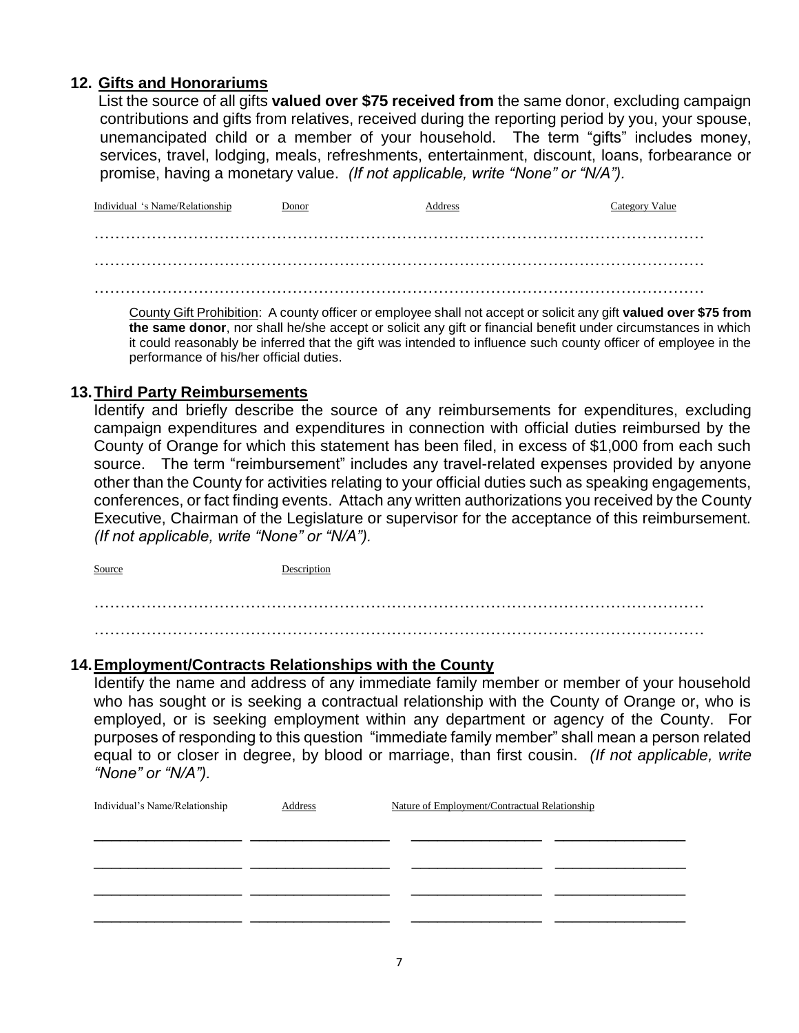## **12. Gifts and Honorariums**

List the source of all gifts **valued over \$75 received from** the same donor, excluding campaign contributions and gifts from relatives, received during the reporting period by you, your spouse, unemancipated child or a member of your household. The term "gifts" includes money, services, travel, lodging, meals, refreshments, entertainment, discount, loans, forbearance or promise, having a monetary value. *(If not applicable, write "None" or "N/A").*

Individual 's Name/Relationship Donor Address Category Value ……………………………………………………………………………………………………… ……………………………………………………………………………………………………… ………………………………………………………………………………………………………

County Gift Prohibition: A county officer or employee shall not accept or solicit any gift **valued over \$75 from the same donor**, nor shall he/she accept or solicit any gift or financial benefit under circumstances in which it could reasonably be inferred that the gift was intended to influence such county officer of employee in the performance of his/her official duties.

### **13.Third Party Reimbursements**

Identify and briefly describe the source of any reimbursements for expenditures, excluding campaign expenditures and expenditures in connection with official duties reimbursed by the County of Orange for which this statement has been filed, in excess of \$1,000 from each such source. The term "reimbursement" includes any travel-related expenses provided by anyone other than the County for activities relating to your official duties such as speaking engagements, conferences, or fact finding events. Attach any written authorizations you received by the County Executive, Chairman of the Legislature or supervisor for the acceptance of this reimbursement. *(If not applicable, write "None" or "N/A").*

Source Description

……………………………………………………………………………………………………… ………………………………………………………………………………………………………

#### **14.Employment/Contracts Relationships with the County**

Identify the name and address of any immediate family member or member of your household who has sought or is seeking a contractual relationship with the County of Orange or, who is employed, or is seeking employment within any department or agency of the County. For purposes of responding to this question "immediate family member" shall mean a person related equal to or closer in degree, by blood or marriage, than first cousin. *(If not applicable, write "None" or "N/A").*

| Individual's Name/Relationship | Address | Nature of Employment/Contractual Relationship |  |
|--------------------------------|---------|-----------------------------------------------|--|
|                                |         |                                               |  |
|                                |         |                                               |  |
|                                |         |                                               |  |
|                                |         |                                               |  |
|                                |         |                                               |  |
|                                |         |                                               |  |
|                                |         |                                               |  |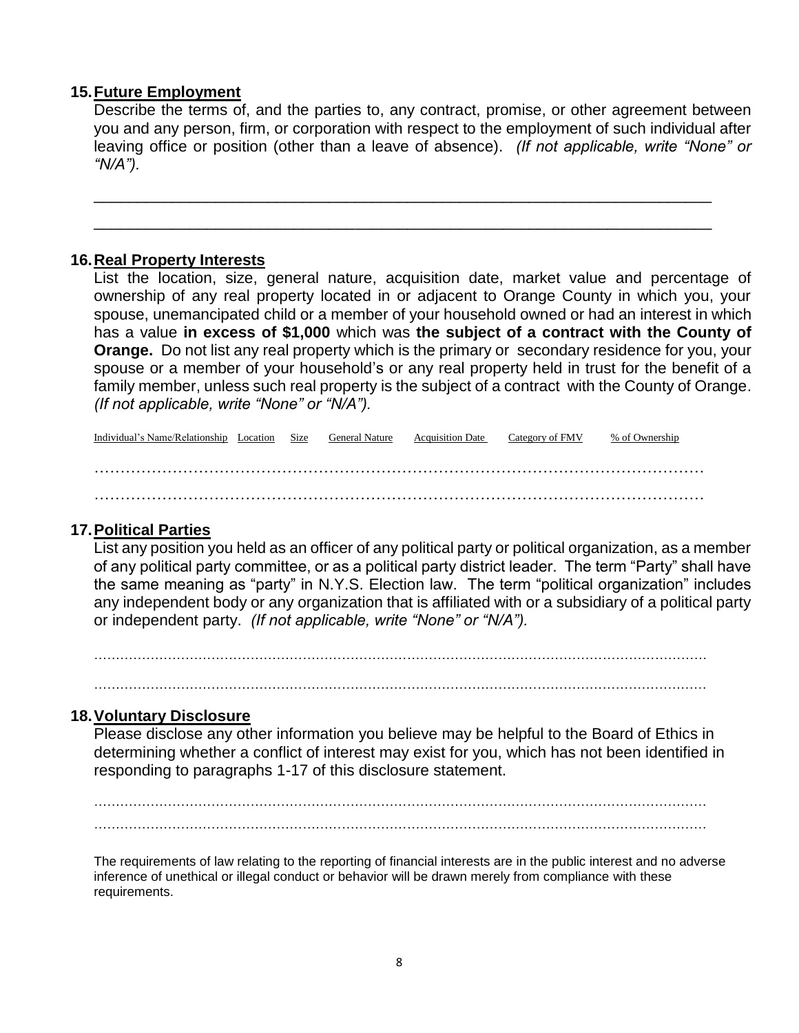#### **15.Future Employment**

Describe the terms of, and the parties to, any contract, promise, or other agreement between you and any person, firm, or corporation with respect to the employment of such individual after leaving office or position (other than a leave of absence). *(If not applicable, write "None" or "N/A").*

\_\_\_\_\_\_\_\_\_\_\_\_\_\_\_\_\_\_\_\_\_\_\_\_\_\_\_\_\_\_\_\_\_\_\_\_\_\_\_\_\_\_\_\_\_\_\_\_\_\_\_\_\_\_\_\_\_\_\_\_\_\_\_\_\_\_\_\_\_\_\_

\_\_\_\_\_\_\_\_\_\_\_\_\_\_\_\_\_\_\_\_\_\_\_\_\_\_\_\_\_\_\_\_\_\_\_\_\_\_\_\_\_\_\_\_\_\_\_\_\_\_\_\_\_\_\_\_\_\_\_\_\_\_\_\_\_\_\_\_\_\_\_

## **16.Real Property Interests**

List the location, size, general nature, acquisition date, market value and percentage of ownership of any real property located in or adjacent to Orange County in which you, your spouse, unemancipated child or a member of your household owned or had an interest in which has a value **in excess of \$1,000** which was **the subject of a contract with the County of Orange.** Do not list any real property which is the primary or secondary residence for you, your spouse or a member of your household's or any real property held in trust for the benefit of a family member, unless such real property is the subject of a contract with the County of Orange. *(If not applicable, write "None" or "N/A").*

Individual's Name/Relationship Location Size General Nature Acquisition Date Category of FMV % of Ownership ……………………………………………………………………………………………………… ………………………………………………………………………………………………………

## **17.Political Parties**

List any position you held as an officer of any political party or political organization, as a member of any political party committee, or as a political party district leader. The term "Party" shall have the same meaning as "party" in N.Y.S. Election law. The term "political organization" includes any independent body or any organization that is affiliated with or a subsidiary of a political party or independent party. *(If not applicable, write "None" or "N/A").*

……………………………………………………………………………………………………………………………

### **18.Voluntary Disclosure**

Please disclose any other information you believe may be helpful to the Board of Ethics in determining whether a conflict of interest may exist for you, which has not been identified in responding to paragraphs 1-17 of this disclosure statement.

…………………………………………………………………………………………………………………………… ……………………………………………………………………………………………………………………………

The requirements of law relating to the reporting of financial interests are in the public interest and no adverse inference of unethical or illegal conduct or behavior will be drawn merely from compliance with these requirements.